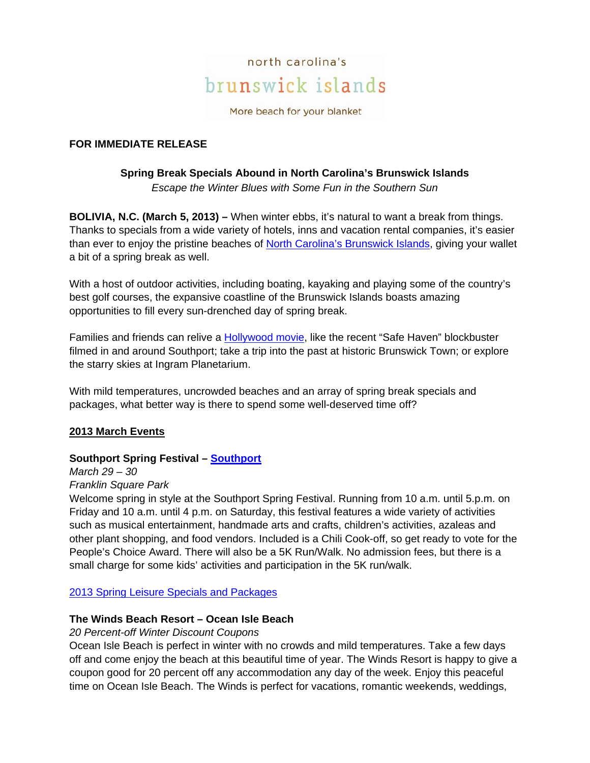

More beach for your blanket

### **FOR IMMEDIATE RELEASE**

#### **Spring Break Specials Abound in North Carolina's Brunswick Islands**  *Escape the Winter Blues with Some Fun in the Southern Sun*

**BOLIVIA, N.C. (March 5, 2013) –** When winter ebbs, it's natural to want a break from things. Thanks to specials from a wide variety of hotels, inns and vacation rental companies, it's easier than ever to enjoy the pristine beaches of North Carolina's Brunswick Islands, giving your wallet a bit of a spring break as well.

With a host of outdoor activities, including boating, kayaking and playing some of the country's best golf courses, the expansive coastline of the Brunswick Islands boasts amazing opportunities to fill every sun-drenched day of spring break.

Families and friends can relive a Hollywood movie, like the recent "Safe Haven" blockbuster filmed in and around Southport; take a trip into the past at historic Brunswick Town; or explore the starry skies at Ingram Planetarium.

With mild temperatures, uncrowded beaches and an array of spring break specials and packages, what better way is there to spend some well-deserved time off?

### **2013 March Events**

### **Southport Spring Festival – Southport**

*March 29 – 30 Franklin Square Park* 

Welcome spring in style at the Southport Spring Festival. Running from 10 a.m. until 5.p.m. on Friday and 10 a.m. until 4 p.m. on Saturday, this festival features a wide variety of activities such as musical entertainment, handmade arts and crafts, children's activities, azaleas and other plant shopping, and food vendors. Included is a Chili Cook-off, so get ready to vote for the People's Choice Award. There will also be a 5K Run/Walk. No admission fees, but there is a small charge for some kids' activities and participation in the 5K run/walk.

2013 Spring Leisure Specials and Packages

#### **The Winds Beach Resort – Ocean Isle Beach**

*20 Percent-off Winter Discount Coupons* 

Ocean Isle Beach is perfect in winter with no crowds and mild temperatures. Take a few days off and come enjoy the beach at this beautiful time of year. The Winds Resort is happy to give a coupon good for 20 percent off any accommodation any day of the week. Enjoy this peaceful time on Ocean Isle Beach. The Winds is perfect for vacations, romantic weekends, weddings,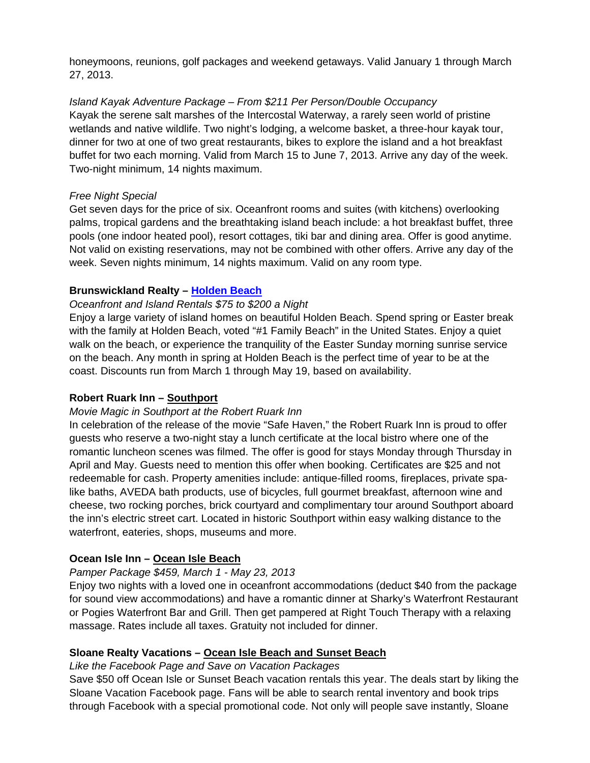honeymoons, reunions, golf packages and weekend getaways. Valid January 1 through March 27, 2013.

*Island Kayak Adventure Package – From \$211 Per Person/Double Occupancy*  Kayak the serene salt marshes of the Intercostal Waterway, a rarely seen world of pristine wetlands and native wildlife. Two night's lodging, a welcome basket, a three-hour kayak tour, dinner for two at one of two great restaurants, bikes to explore the island and a hot breakfast buffet for two each morning. Valid from March 15 to June 7, 2013. Arrive any day of the week. Two-night minimum, 14 nights maximum.

### *Free Night Special*

Get seven days for the price of six. Oceanfront rooms and suites (with kitchens) overlooking palms, tropical gardens and the breathtaking island beach include: a hot breakfast buffet, three pools (one indoor heated pool), resort cottages, tiki bar and dining area. Offer is good anytime. Not valid on existing reservations, may not be combined with other offers. Arrive any day of the week. Seven nights minimum, 14 nights maximum. Valid on any room type.

# **Brunswickland Realty – Holden Beach**

# *Oceanfront and Island Rentals \$75 to \$200 a Night*

Enjoy a large variety of island homes on beautiful Holden Beach. Spend spring or Easter break with the family at Holden Beach, voted "#1 Family Beach" in the United States. Enjoy a quiet walk on the beach, or experience the tranquility of the Easter Sunday morning sunrise service on the beach. Any month in spring at Holden Beach is the perfect time of year to be at the coast. Discounts run from March 1 through May 19, based on availability.

### **Robert Ruark Inn – Southport**

### *Movie Magic in Southport at the Robert Ruark Inn*

In celebration of the release of the movie "Safe Haven," the Robert Ruark Inn is proud to offer guests who reserve a two-night stay a lunch certificate at the local bistro where one of the romantic luncheon scenes was filmed. The offer is good for stays Monday through Thursday in April and May. Guests need to mention this offer when booking. Certificates are \$25 and not redeemable for cash. Property amenities include: antique-filled rooms, fireplaces, private spalike baths, AVEDA bath products, use of bicycles, full gourmet breakfast, afternoon wine and cheese, two rocking porches, brick courtyard and complimentary tour around Southport aboard the inn's electric street cart. Located in historic Southport within easy walking distance to the waterfront, eateries, shops, museums and more.

# **Ocean Isle Inn – Ocean Isle Beach**

# *Pamper Package \$459, March 1 - May 23, 2013*

Enjoy two nights with a loved one in oceanfront accommodations (deduct \$40 from the package for sound view accommodations) and have a romantic dinner at Sharky's Waterfront Restaurant or Pogies Waterfront Bar and Grill. Then get pampered at Right Touch Therapy with a relaxing massage. Rates include all taxes. Gratuity not included for dinner.

### **Sloane Realty Vacations – Ocean Isle Beach and Sunset Beach**

### *Like the Facebook Page and Save on Vacation Packages*

Save \$50 off Ocean Isle or Sunset Beach vacation rentals this year. The deals start by liking the Sloane Vacation Facebook page. Fans will be able to search rental inventory and book trips through Facebook with a special promotional code. Not only will people save instantly, Sloane